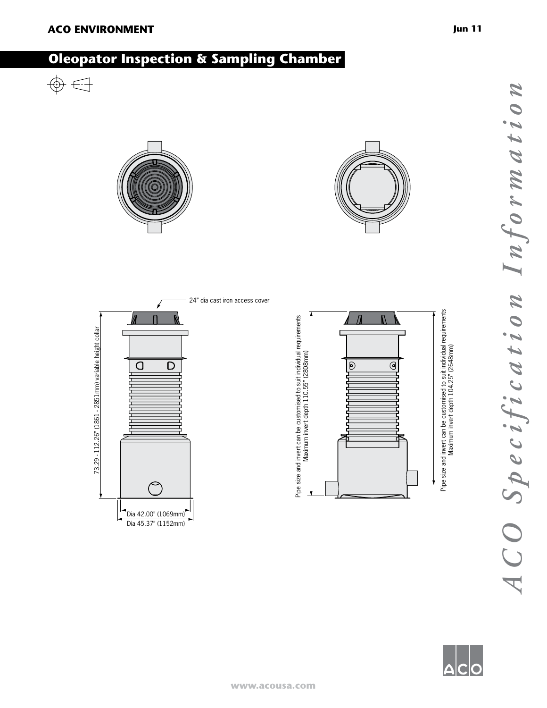# **Oleopator Inspection & Sampling Chamber**